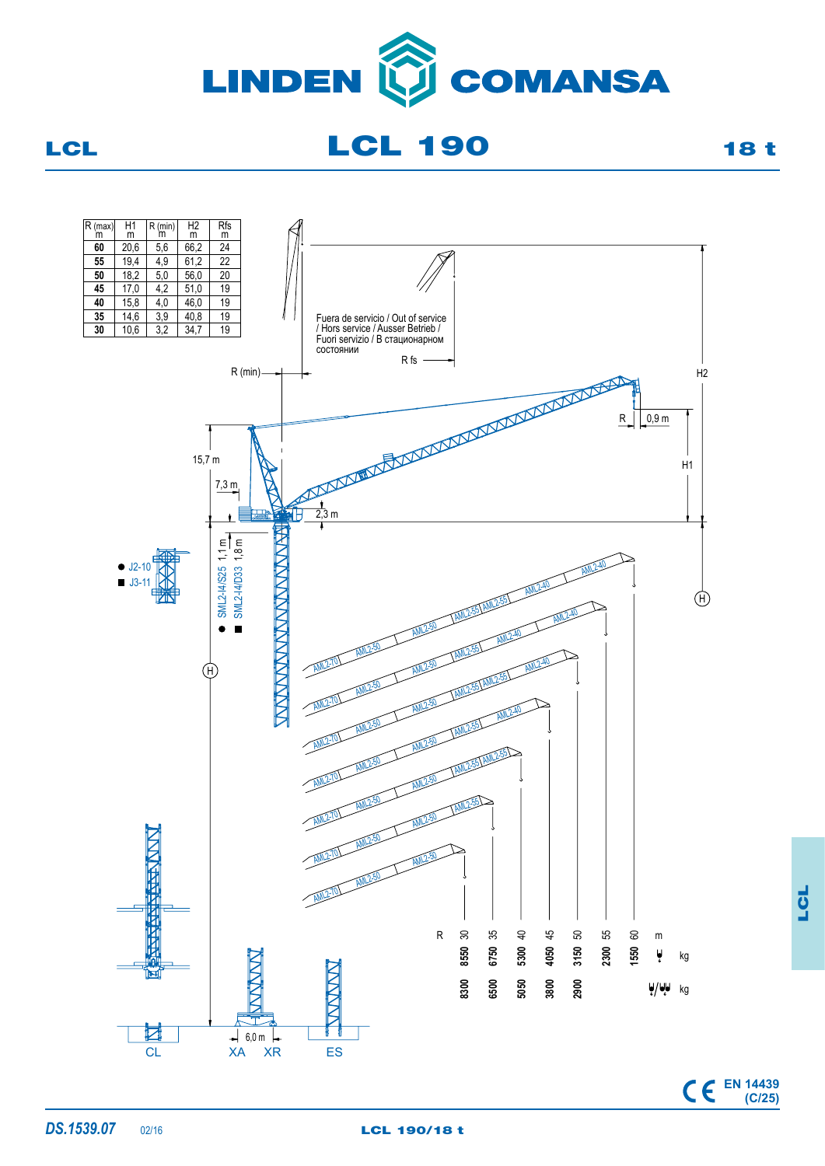

LCL 190 18 t





LCL

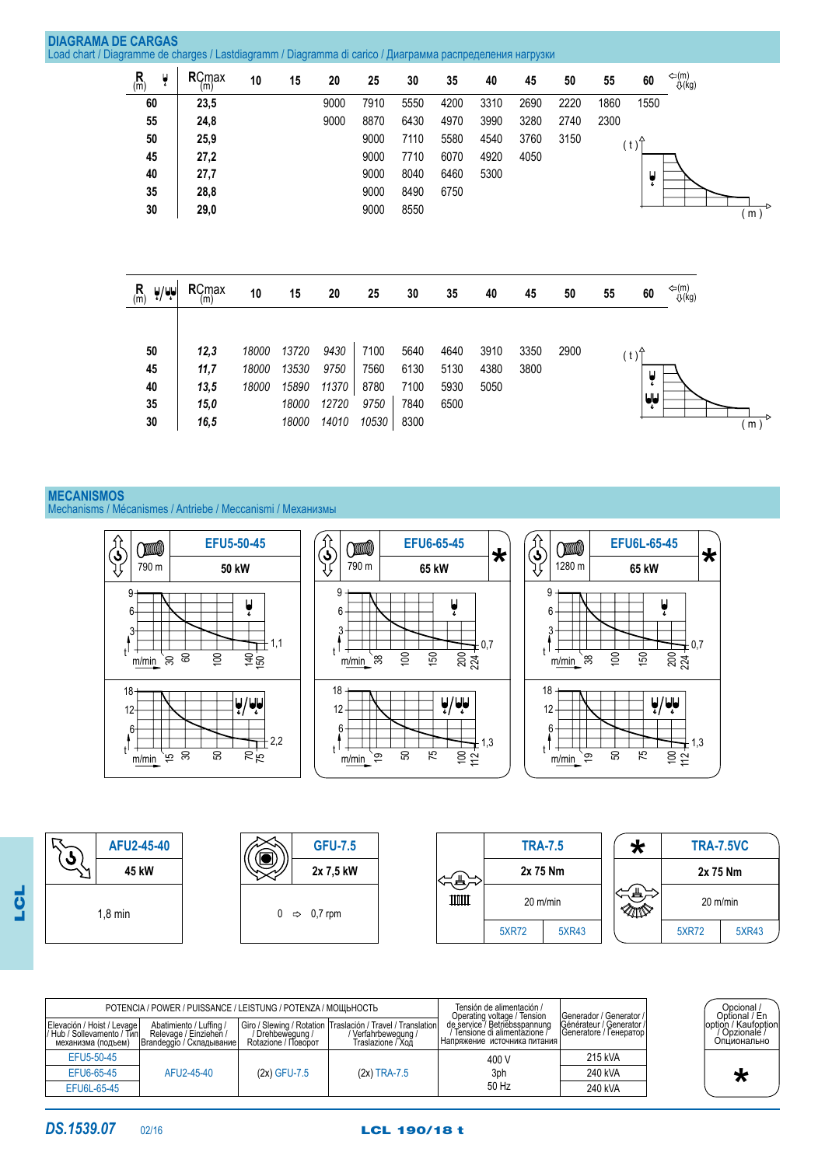| $\mathsf{R}_\mathsf{(m)}$   | Å             | $\mathsf{R} \mathsf{C} \mathsf{max} \atop (\mathsf{m})$ | 10             | 15             | 20            | 25           | 30           | 35           | 40           | 45           | 50   | 55   | 60   | ⇔(m)<br>· (kg)                                  |
|-----------------------------|---------------|---------------------------------------------------------|----------------|----------------|---------------|--------------|--------------|--------------|--------------|--------------|------|------|------|-------------------------------------------------|
| 60                          |               | 23,5                                                    |                |                | 9000          | 7910         | 5550         | 4200         | 3310         | 2690         | 2220 | 1860 | 1550 |                                                 |
| 55                          |               | 24,8                                                    |                |                | 9000          | 8870         | 6430         | 4970         | 3990         | 3280         | 2740 | 2300 |      |                                                 |
| 50                          |               | 25,9                                                    |                |                |               | 9000         | 7110         | 5580         | 4540         | 3760         | 3150 |      | (t)  |                                                 |
| 45                          |               | 27,2                                                    |                |                |               | 9000         | 7710         | 6070         | 4920         | 4050         |      |      |      |                                                 |
| 40                          |               | 27,7                                                    |                |                |               | 9000         | 8040         | 6460         | 5300         |              |      |      | Ų    |                                                 |
| 35                          |               | 28,8                                                    |                |                |               | 9000         | 8490         | 6750         |              |              |      |      |      |                                                 |
| 30                          |               | 29,0                                                    |                |                |               | 9000         | 8550         |              |              |              |      |      |      |                                                 |
|                             |               |                                                         |                |                |               |              |              |              |              |              |      |      |      |                                                 |
| $\mathsf{R}_{\mathsf{(m)}}$ | $\frac{1}{2}$ | $\mathsf{R} \mathsf{C} \mathsf{max} \atop \mathsf{(m)}$ | 10             | 15             | 20            | 25           | 30           | 35           | 40           | 45           | 50   | 55   | 60   | $\Leftrightarrow$ (m)<br>$\bigcup_{i=1}^n (kg)$ |
|                             |               |                                                         |                |                |               |              |              |              |              |              |      |      |      |                                                 |
| 50                          |               | 12,3                                                    | 18000          | 13720          | 9430          | 7100<br>7560 | 5640         | 4640         | 3910<br>4380 | 3350<br>3800 | 2900 |      | (t)  |                                                 |
| 45<br>40                    |               | 11,7<br>13,5                                            | 18000<br>18000 | 13530<br>15890 | 9750<br>11370 | 8780         | 6130<br>7100 | 5130<br>5930 | 5050         |              |      |      | Ų    |                                                 |
| 35                          |               | 15,0                                                    |                | 18000          | 12720         | 9750         | 7840         | 6500         |              |              |      |      | ŲJ   |                                                 |

# **MECANISMOS**

Mechanisms / Mécanismes / Antriebe / Meccanismi / Механизмы





|                                                                                | Tensión de alimentación /<br>POTENCIA / POWER / PUISSANCE / LEISTUNG / POTENZA / МОЩЬНОСТЬ<br>Operating voltage / Tension |                                         |                                                                                                             |                                                                                               |                                                                                | Opcional /<br>Optional / En                      |
|--------------------------------------------------------------------------------|---------------------------------------------------------------------------------------------------------------------------|-----------------------------------------|-------------------------------------------------------------------------------------------------------------|-----------------------------------------------------------------------------------------------|--------------------------------------------------------------------------------|--------------------------------------------------|
| Elevación / Hoist / Levage<br>/ Hub / Sollevamento / Tun<br>механизма (подъем) | Abatimiento / Luffing /<br>Relevage / Einziehen /<br>Вгап deggio / Складывание                                            | / Drehbewegung /<br>Rotazione / Поворот | Giro / Slewing / Rotation   Traslación / Travel / Translation  <br>/ Verfahrbewegung /<br>Traslazione / Xon | de service / Betriebsspannung<br>Tensione di alimentazione /<br>Напряжение источника питания! | I Generador / Generator /<br>IGénérateur / Generator<br>Generatore / Генератор | loption / Kaufoption<br>Opzionale<br>Опционально |
| EFU5-50-45                                                                     |                                                                                                                           |                                         |                                                                                                             | 400 V                                                                                         | 215 kVA                                                                        |                                                  |
| EFU6-65-45                                                                     | AFU2-45-40                                                                                                                | $(2x)$ GFU-7.5                          | $(2x)$ TRA-7.5                                                                                              | 3ph                                                                                           | 240 kVA                                                                        |                                                  |
| EFU6L-65-45                                                                    |                                                                                                                           |                                         |                                                                                                             | 50 Hz                                                                                         | 240 kVA                                                                        |                                                  |
|                                                                                |                                                                                                                           |                                         |                                                                                                             |                                                                                               |                                                                                |                                                  |

LCL

**DS.1539.07** 02/16 **LCL 190/18 t** 

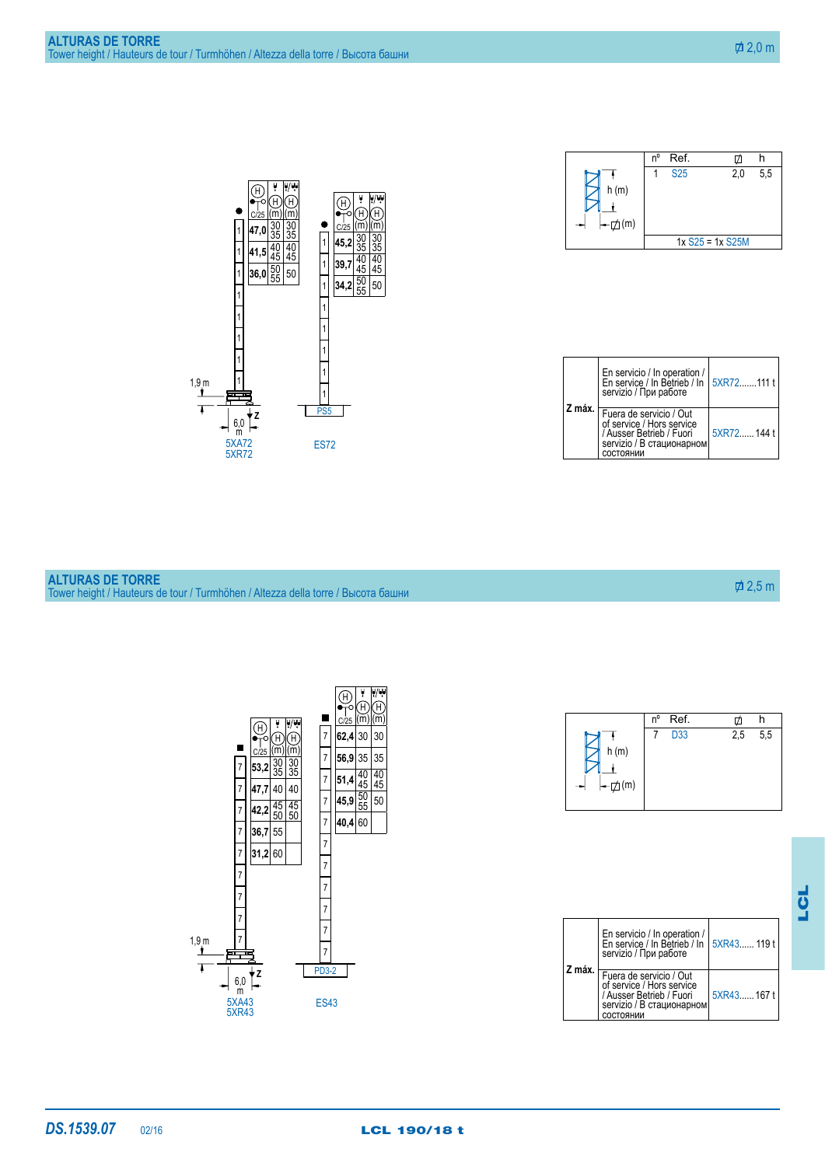



|        | En servicio / In operation / $\left  \begin{array}{c} \text{En service } l \text{ In Betricb } l \text{ In } \boxed{5 \times R72 \dots 11111} \end{array} \right $<br>servizio / При работе |             |  |  |
|--------|---------------------------------------------------------------------------------------------------------------------------------------------------------------------------------------------|-------------|--|--|
| Z máx. | Fuera de servicio / Out<br>of service / Hors service<br>/ Ausser Betrieb / Fuori<br>servizio / В стационарном<br>СОСТОЯНИИ                                                                  | 5XR72 144 t |  |  |

### **Alturas de torre** Tower height / Hauteurs de tour / Turmhöhen / Altezza della torre / Высота башни



nº Ref.  $\qquad$  ⊅ h 7 D33 2,5 5,5 Ŧ  $\boxtimes$ h (m)  $\mathbf{I}$  $\leftarrow \n\Box$ (m)

| Z máx. | En servicio / In operation /<br>En service / In Betrieb / In   5XR43 119 t<br>servizio / При работе                        |            |
|--------|----------------------------------------------------------------------------------------------------------------------------|------------|
|        | Fuera de servicio / Out<br>of service / Hors service<br>/ Ausser Betrieb / Fuori<br>servizio / В стационарном<br>состоянии | 5XR43167 t |

2,5 m